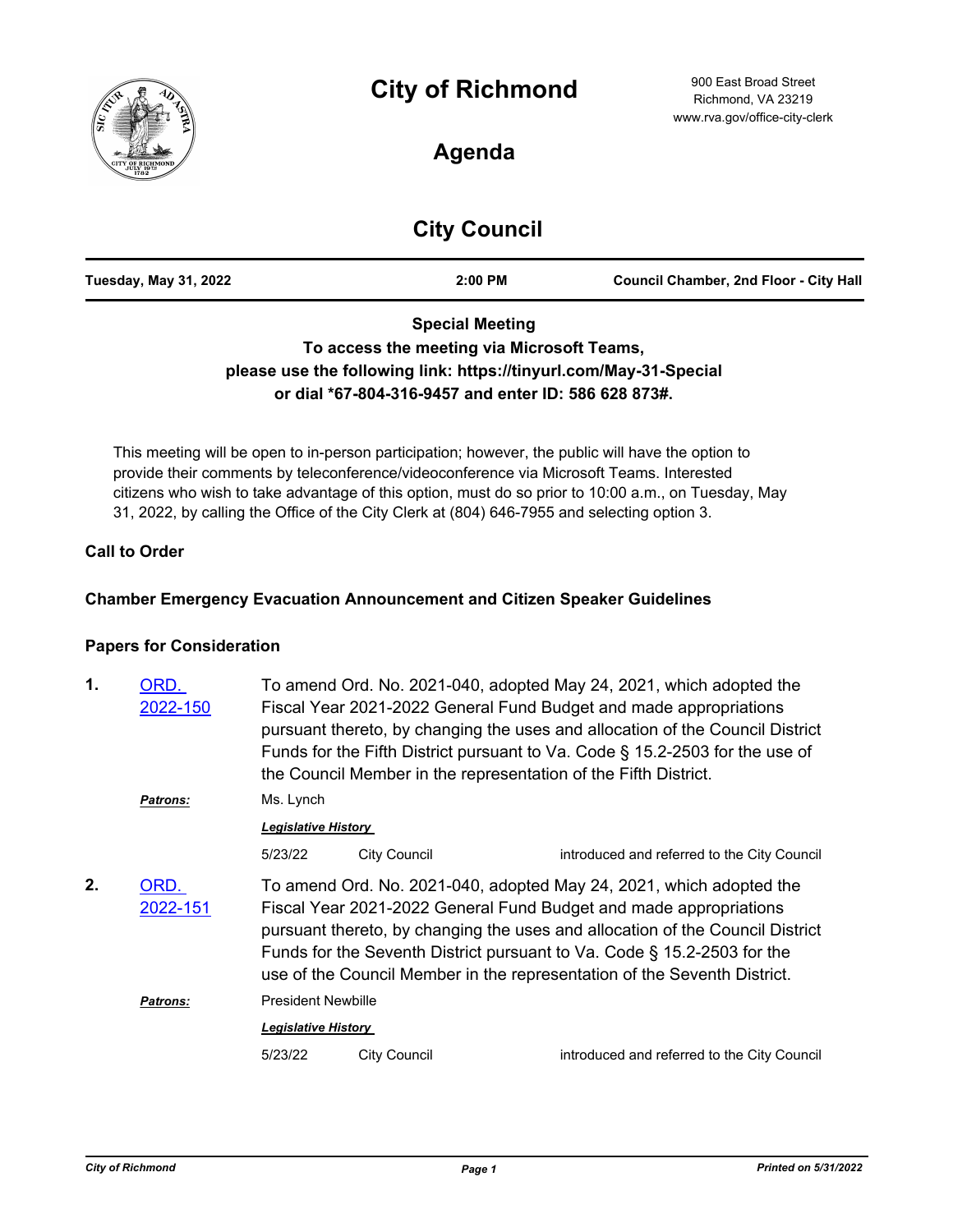

# **Agenda**

# **City Council**

| <b>Tuesday, May 31, 2022</b> | 2:00 PM | <b>Council Chamber, 2nd Floor - City Hall</b> |
|------------------------------|---------|-----------------------------------------------|
|                              |         |                                               |

## **Special Meeting To access the meeting via Microsoft Teams, please use the following link: https://tinyurl.com/May-31-Special or dial \*67-804-316-9457 and enter ID: 586 628 873#.**

This meeting will be open to in-person participation; however, the public will have the option to provide their comments by teleconference/videoconference via Microsoft Teams. Interested citizens who wish to take advantage of this option, must do so prior to 10:00 a.m., on Tuesday, May 31, 2022, by calling the Office of the City Clerk at (804) 646-7955 and selecting option 3.

#### **Call to Order**

#### **Chamber Emergency Evacuation Announcement and Citizen Speaker Guidelines**

#### **Papers for Consideration**

| ORD.<br>2022-150 | To amend Ord. No. 2021-040, adopted May 24, 2021, which adopted the<br>Fiscal Year 2021-2022 General Fund Budget and made appropriations<br>pursuant thereto, by changing the uses and allocation of the Council District<br>Funds for the Fifth District pursuant to Va. Code § 15.2-2503 for the use of<br>the Council Member in the representation of the Fifth District.     |                     |                                             |  |
|------------------|----------------------------------------------------------------------------------------------------------------------------------------------------------------------------------------------------------------------------------------------------------------------------------------------------------------------------------------------------------------------------------|---------------------|---------------------------------------------|--|
| Patrons:         | Ms. Lynch<br><b>Legislative History</b>                                                                                                                                                                                                                                                                                                                                          |                     |                                             |  |
|                  |                                                                                                                                                                                                                                                                                                                                                                                  |                     |                                             |  |
|                  | 5/23/22                                                                                                                                                                                                                                                                                                                                                                          | <b>City Council</b> | introduced and referred to the City Council |  |
| ORD.<br>2022-151 | To amend Ord. No. 2021-040, adopted May 24, 2021, which adopted the<br>Fiscal Year 2021-2022 General Fund Budget and made appropriations<br>pursuant thereto, by changing the uses and allocation of the Council District<br>Funds for the Seventh District pursuant to Va. Code § 15.2-2503 for the<br>use of the Council Member in the representation of the Seventh District. |                     |                                             |  |
| <b>Patrons:</b>  | <b>President Newbille</b>                                                                                                                                                                                                                                                                                                                                                        |                     |                                             |  |
|                  | <b>Legislative History</b>                                                                                                                                                                                                                                                                                                                                                       |                     |                                             |  |
|                  | 5/23/22                                                                                                                                                                                                                                                                                                                                                                          | <b>City Council</b> | introduced and referred to the City Council |  |
|                  |                                                                                                                                                                                                                                                                                                                                                                                  |                     |                                             |  |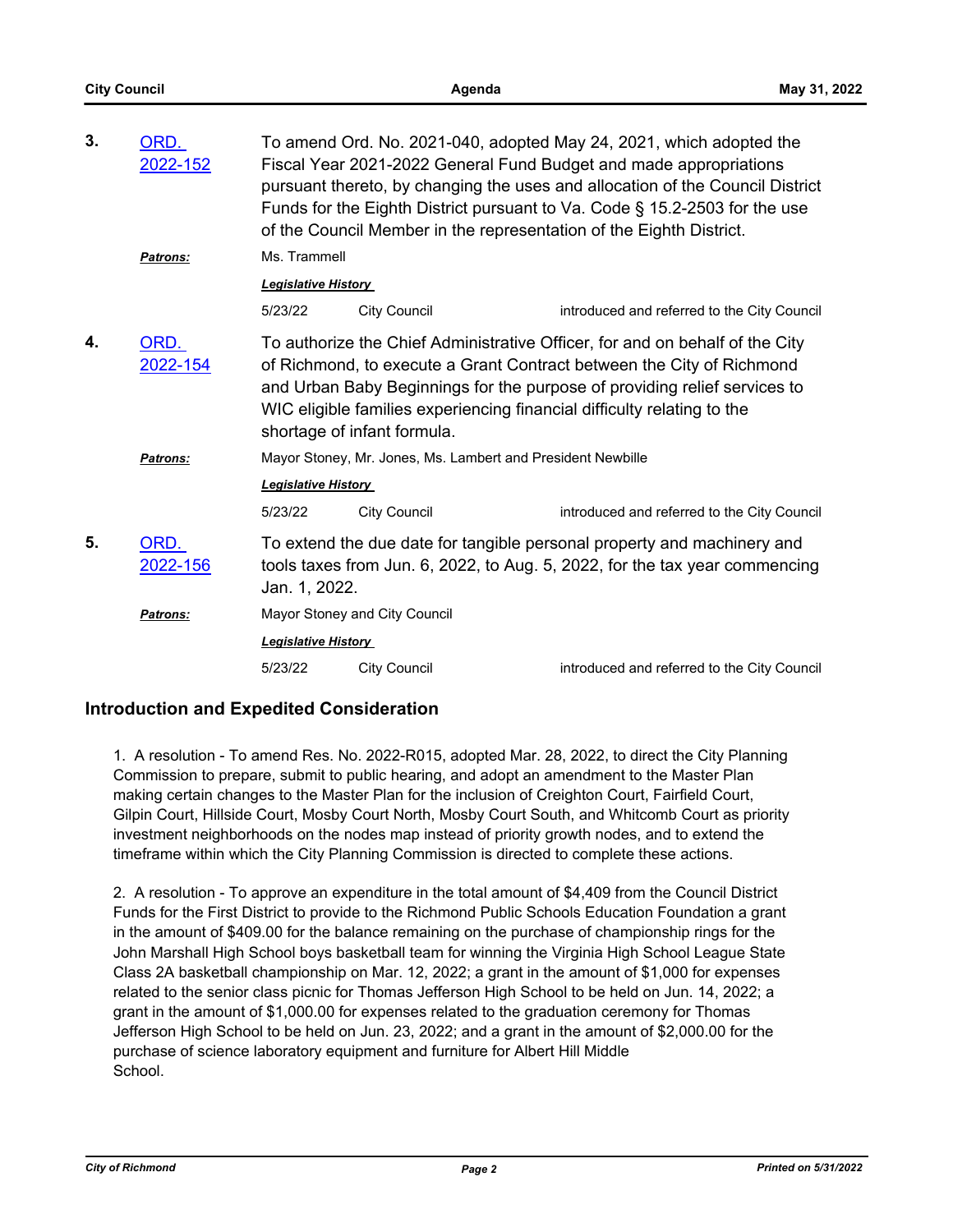| 3. | ORD.<br>2022-152 | To amend Ord. No. 2021-040, adopted May 24, 2021, which adopted the<br>Fiscal Year 2021-2022 General Fund Budget and made appropriations<br>pursuant thereto, by changing the uses and allocation of the Council District<br>Funds for the Eighth District pursuant to Va. Code § 15.2-2503 for the use<br>of the Council Member in the representation of the Eighth District.<br>Ms. Trammell                                            |                     |                                             |  |
|----|------------------|-------------------------------------------------------------------------------------------------------------------------------------------------------------------------------------------------------------------------------------------------------------------------------------------------------------------------------------------------------------------------------------------------------------------------------------------|---------------------|---------------------------------------------|--|
|    | Patrons:         |                                                                                                                                                                                                                                                                                                                                                                                                                                           |                     |                                             |  |
|    |                  | <b>Legislative History</b>                                                                                                                                                                                                                                                                                                                                                                                                                |                     |                                             |  |
|    |                  | 5/23/22                                                                                                                                                                                                                                                                                                                                                                                                                                   | <b>City Council</b> | introduced and referred to the City Council |  |
| 4. | ORD.<br>2022-154 | To authorize the Chief Administrative Officer, for and on behalf of the City<br>of Richmond, to execute a Grant Contract between the City of Richmond<br>and Urban Baby Beginnings for the purpose of providing relief services to<br>WIC eligible families experiencing financial difficulty relating to the<br>shortage of infant formula.<br>Mayor Stoney, Mr. Jones, Ms. Lambert and President Newbille<br><b>Legislative History</b> |                     |                                             |  |
|    | Patrons:         |                                                                                                                                                                                                                                                                                                                                                                                                                                           |                     |                                             |  |
|    |                  |                                                                                                                                                                                                                                                                                                                                                                                                                                           |                     |                                             |  |
|    |                  | 5/23/22                                                                                                                                                                                                                                                                                                                                                                                                                                   | <b>City Council</b> | introduced and referred to the City Council |  |
| 5. | ORD.<br>2022-156 | To extend the due date for tangible personal property and machinery and<br>tools taxes from Jun. 6, 2022, to Aug. 5, 2022, for the tax year commencing<br>Jan. 1, 2022.                                                                                                                                                                                                                                                                   |                     |                                             |  |
|    | Patrons:         | Mayor Stoney and City Council                                                                                                                                                                                                                                                                                                                                                                                                             |                     |                                             |  |
|    |                  | <b>Legislative History</b>                                                                                                                                                                                                                                                                                                                                                                                                                |                     |                                             |  |
|    |                  | 5/23/22                                                                                                                                                                                                                                                                                                                                                                                                                                   | <b>City Council</b> | introduced and referred to the City Council |  |

### **Introduction and Expedited Consideration**

1. A resolution - To amend Res. No. 2022-R015, adopted Mar. 28, 2022, to direct the City Planning Commission to prepare, submit to public hearing, and adopt an amendment to the Master Plan making certain changes to the Master Plan for the inclusion of Creighton Court, Fairfield Court, Gilpin Court, Hillside Court, Mosby Court North, Mosby Court South, and Whitcomb Court as priority investment neighborhoods on the nodes map instead of priority growth nodes, and to extend the timeframe within which the City Planning Commission is directed to complete these actions.

2. A resolution - To approve an expenditure in the total amount of \$4,409 from the Council District Funds for the First District to provide to the Richmond Public Schools Education Foundation a grant in the amount of \$409.00 for the balance remaining on the purchase of championship rings for the John Marshall High School boys basketball team for winning the Virginia High School League State Class 2A basketball championship on Mar. 12, 2022; a grant in the amount of \$1,000 for expenses related to the senior class picnic for Thomas Jefferson High School to be held on Jun. 14, 2022; a grant in the amount of \$1,000.00 for expenses related to the graduation ceremony for Thomas Jefferson High School to be held on Jun. 23, 2022; and a grant in the amount of \$2,000.00 for the purchase of science laboratory equipment and furniture for Albert Hill Middle School.